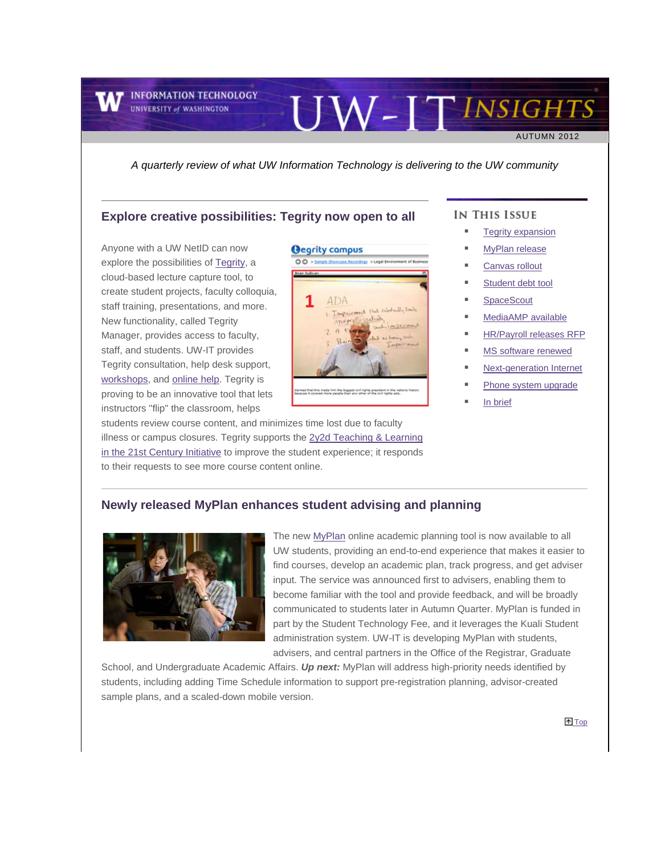**INFORMATION TECHNOLOGY UNIVERSITY of WASHINGTON** 

AUTUMN 2012

*A quarterly review of what UW Information Technology is delivering to the UW community*

#### <span id="page-0-0"></span>**Explore creative possibilities: Tegrity now open to all**

Anyone with a UW NetID can now explore the possibilities o[f Tegrity,](http://engage.washington.edu/site/R?i=QeSUKdl41Rhh4yPRM1va-w) a cloud-based lecture capture tool, to create student projects, faculty colloquia, staff training, presentations, and more. New functionality, called Tegrity Manager, provides access to faculty, staff, and students. UW-IT provides Tegrity consultation, help desk support, [workshops,](http://engage.washington.edu/site/R?i=wyrNmwci9nXvYRL-p7mDog) an[d online help.](http://engage.washington.edu/site/R?i=huFP7qB-yfoupXOgXo5u4w) Tegrity is proving to be an innovative tool that lets instructors "flip" the classroom, helps

**Oegrity compus**  $00$  $ADA$ 

students review course content, and minimizes time lost due to faculty illness or campus closures. Tegrity supports th[e 2y2d Teaching & Learning](http://engage.washington.edu/site/R?i=geuN0Z4m9v--8bD-9S3lhw)  [in the 21st Century Initiative](http://engage.washington.edu/site/R?i=geuN0Z4m9v--8bD-9S3lhw) to improve the student experience; it responds to their requests to see more course content online.

#### IN THIS ISSUE

UW-ITINSIGHTS

- [Tegrity expansion](#page-0-0)
- [MyPlan release](#page-0-1)
- [Canvas rollout](#page-1-0)
- [Student debt tool](#page-1-1)
- **[SpaceScout](#page-2-0)**
- [MediaAMP available](#page-2-1)
- [HR/Payroll releases RFP](#page-2-2)
- [MS software renewed](#page-3-0)
- [Next-generation Internet](#page-3-1)
- [Phone system upgrade](#page-4-0)
- [In brief](#page-4-1)

# <span id="page-0-1"></span>**Newly released MyPlan enhances student advising and planning**



The new [MyPlan](http://engage.washington.edu/site/R?i=K3CvxbugvgO1yvGApwxYPw) online academic planning tool is now available to all UW students, providing an end-to-end experience that makes it easier to find courses, develop an academic plan, track progress, and get adviser input. The service was announced first to advisers, enabling them to become familiar with the tool and provide feedback, and will be broadly communicated to students later in Autumn Quarter. MyPlan is funded in part by the Student Technology Fee, and it leverages the Kuali Student administration system. UW-IT is developing MyPlan with students, advisers, and central partners in the Office of the Registrar, Graduate

School, and Undergraduate Academic Affairs. *Up next:* MyPlan will address high-priority needs identified by students, including adding Time Schedule information to support pre-registration planning, advisor-created sample plans, and a scaled-down mobile version.

<sup>T</sup> [Top](#page-0-0)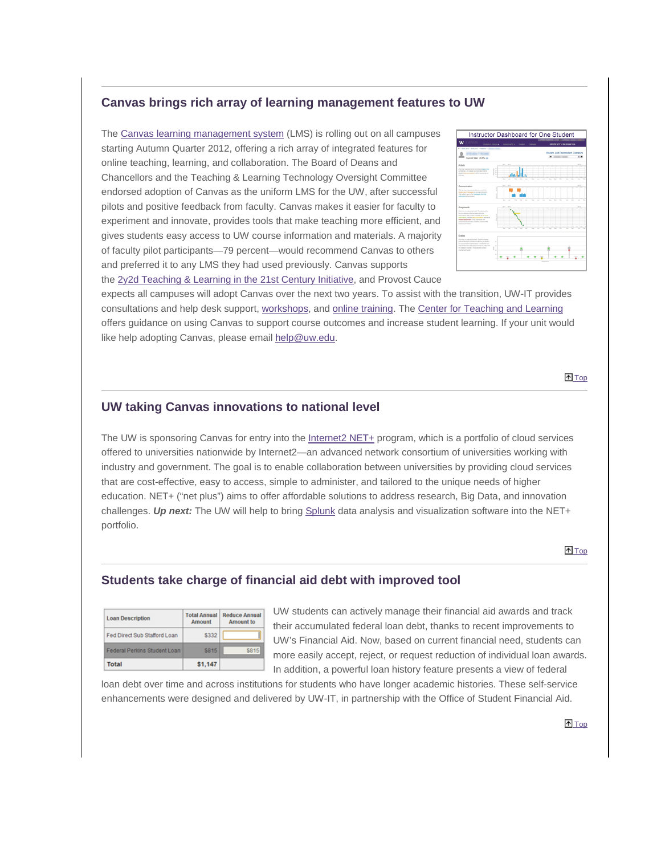# <span id="page-1-0"></span>**Canvas brings rich array of learning management features to UW**

The [Canvas learning management system](http://engage.washington.edu/site/R?i=RZx10am0xmJsLX5LlRyp7A) (LMS) is rolling out on all campuses starting Autumn Quarter 2012, offering a rich array of integrated features for online teaching, learning, and collaboration. The Board of Deans and Chancellors and the Teaching & Learning Technology Oversight Committee endorsed adoption of Canvas as the uniform LMS for the UW, after successful pilots and positive feedback from faculty. Canvas makes it easier for faculty to experiment and innovate, provides tools that make teaching more efficient, and gives students easy access to UW course information and materials. A majority of faculty pilot participants—79 percent—would recommend Canvas to others and preferred it to any LMS they had used previously. Canvas supports the [2y2d Teaching & Learning in the 21st](http://engage.washington.edu/site/R?i=TWYkcTHhVLcgWcafQvnjBQ) Century Initiative, and Provost Cauce



expects all campuses will adopt Canvas over the next two years. To assist with the transition, UW-IT provides consultations and help desk support, [workshops,](http://engage.washington.edu/site/R?i=NnSk9HEHByt1sPYJ-EGvFg) and [online training.](http://engage.washington.edu/site/R?i=ZD_mUDMv7v0HyZMReCqyTg) The [Center for Teaching and Learning](http://engage.washington.edu/site/R?i=y0w3D7zZTFbRWRPKnbj7kA) offers guidance on using Canvas to support course outcomes and increase student learning. If your unit would like help adopting Canvas, please email [help@uw.edu.](mailto:help@uw.edu)

**T**op

#### **UW taking Canvas innovations to national level**

The UW is sponsoring Canvas for entry into th[e Internet2 NET+](http://engage.washington.edu/site/R?i=fjPpoGJY-9HJ6JvYWmp1_g) program, which is a portfolio of cloud services offered to universities nationwide by Internet2—an advanced network consortium of universities working with industry and government. The goal is to enable collaboration between universities by providing cloud services that are cost-effective, easy to access, simple to administer, and tailored to the unique needs of higher education. NET+ ("net plus") aims to offer affordable solutions to address research, Big Data, and innovation challenges. *Up next:* The UW will help to bring [Splunk](http://engage.washington.edu/site/R?i=44O6PpQLY69g_9ewF97VxQ) data analysis and visualization software into the NET+ portfolio.

**T**op

#### <span id="page-1-1"></span>**Students take charge of financial aid debt with improved tool**

| <b>Loan Description</b>      | <b>Total Annual</b><br><b>Amount</b> | <b>Reduce Annual</b><br><b>Amount</b> to |
|------------------------------|--------------------------------------|------------------------------------------|
| Fed Direct Sub Stafford Loan | \$332                                |                                          |
| Federal Perkins Student Loan | <b>S815</b>                          | \$815                                    |
| Total                        | \$1,147                              |                                          |

UW students can actively manage their financial aid awards and track their accumulated federal loan debt, thanks to recent improvements to UW's Financial Aid. Now, based on current financial need, students can more easily accept, reject, or request reduction of individual loan awards. In addition, a powerful loan history feature presents a view of federal

loan debt over time and across institutions for students who have longer academic histories. These self-service enhancements were designed and delivered by UW-IT, in partnership with the Office of Student Financial Aid.

**T**op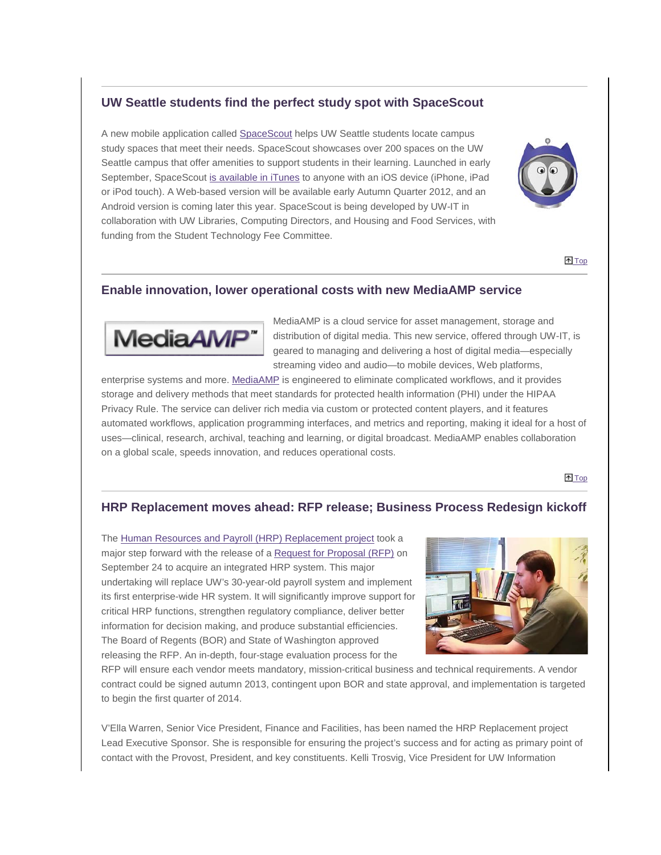# <span id="page-2-0"></span>**UW Seattle students find the perfect study spot with SpaceScout**

A new mobile application called [SpaceScout](http://engage.washington.edu/site/R?i=v3oyjYNtj33unod_zU-eGQ) helps UW Seattle students locate campus study spaces that meet their needs. SpaceScout showcases over 200 spaces on the UW Seattle campus that offer amenities to support students in their learning. Launched in early September, SpaceScout [is available in iTunes](http://engage.washington.edu/site/R?i=N6Yr8AZ82Kl-frKdNyKfLw) to anyone with an iOS device (iPhone, iPad or iPod touch). A Web-based version will be available early Autumn Quarter 2012, and an Android version is coming later this year. SpaceScout is being developed by UW-IT in collaboration with UW Libraries, Computing Directors, and Housing and Food Services, with funding from the Student Technology Fee Committee.



<sup>t</sup> [Top](#page-0-0)

## <span id="page-2-1"></span>**Enable innovation, lower operational costs with new MediaAMP service**



MediaAMP is a cloud service for asset management, storage and distribution of digital media. This new service, offered through UW-IT, is geared to managing and delivering a host of digital media—especially streaming video and audio—to mobile devices, Web platforms,

enterprise systems and more. [MediaAMP](http://engage.washington.edu/site/R?i=4VuIEQtHzSd8QF9Pf40XAg) is engineered to eliminate complicated workflows, and it provides storage and delivery methods that meet standards for protected health information (PHI) under the HIPAA Privacy Rule. The service can deliver rich media via custom or protected content players, and it features automated workflows, application programming interfaces, and metrics and reporting, making it ideal for a host of uses—clinical, research, archival, teaching and learning, or digital broadcast. MediaAMP enables collaboration on a global scale, speeds innovation, and reduces operational costs.

<sup>1</sup>[Top](#page-0-0)

## <span id="page-2-2"></span>**HRP Replacement moves ahead: RFP release; Business Process Redesign kickoff**

The [Human Resources and Payroll \(HRP\) Replacement project](http://engage.washington.edu/site/R?i=Xs7QwR_xN3-1vzYdxcbKUw) took a major step forward with the release of a [Request for Proposal \(RFP\)](http://engage.washington.edu/site/R?i=gmkgratRnRzClEKvKa--yA) on September 24 to acquire an integrated HRP system. This major undertaking will replace UW's 30-year-old payroll system and implement its first enterprise-wide HR system. It will significantly improve support for critical HRP functions, strengthen regulatory compliance, deliver better information for decision making, and produce substantial efficiencies. The Board of Regents (BOR) and State of Washington approved releasing the RFP. An in-depth, four-stage evaluation process for the



RFP will ensure each vendor meets mandatory, mission-critical business and technical requirements. A vendor contract could be signed autumn 2013, contingent upon BOR and state approval, and implementation is targeted to begin the first quarter of 2014.

V'Ella Warren, Senior Vice President, Finance and Facilities, has been named the HRP Replacement project Lead Executive Sponsor. She is responsible for ensuring the project's success and for acting as primary point of contact with the Provost, President, and key constituents. Kelli Trosvig, Vice President for UW Information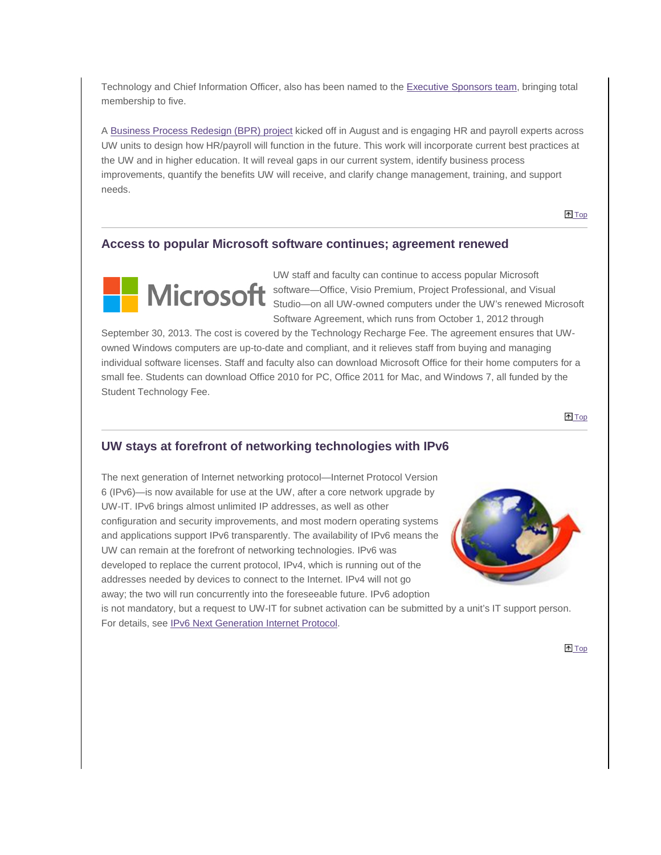Technology and Chief Information Officer, also has been named to th[e Executive Sponsors team,](http://engage.washington.edu/site/R?i=WqwyyxJpI4KeMicPY_Pzjg) bringing total membership to five.

A [Business Process Redesign \(BPR\) project](http://engage.washington.edu/site/R?i=FuurTwX1UDvu0bXJCCkV1w) kicked off in August and is engaging HR and payroll experts across UW units to design how HR/payroll will function in the future. This work will incorporate current best practices at the UW and in higher education. It will reveal gaps in our current system, identify business process improvements, quantify the benefits UW will receive, and clarify change management, training, and support needs.

**T**op

#### <span id="page-3-0"></span>**Access to popular Microsoft software continues; agreement renewed**



UW staff and faculty can continue to access popular Microsoft MICrosoft software—Office, Visio Premium, Project Professional, and Visual Studio—on all UW-owned computers under the UW's renewed Microsoft Software Agreement, which runs from October 1, 2012 through

September 30, 2013. The cost is covered by the Technology Recharge Fee. The agreement ensures that UWowned Windows computers are up-to-date and compliant, and it relieves staff from buying and managing individual software licenses. Staff and faculty also can download Microsoft Office for their home computers for a small fee. Students can download Office 2010 for PC, Office 2011 for Mac, and Windows 7, all funded by the Student Technology Fee.

**T**op

## <span id="page-3-1"></span>**UW stays at forefront of networking technologies with IPv6**

The next generation of Internet networking protocol—Internet Protocol Version 6 (IPv6)—is now available for use at the UW, after a core network upgrade by UW-IT. IPv6 brings almost unlimited IP addresses, as well as other configuration and security improvements, and most modern operating systems and applications support IPv6 transparently. The availability of IPv6 means the UW can remain at the forefront of networking technologies. IPv6 was developed to replace the current protocol, IPv4, which is running out of the addresses needed by devices to connect to the Internet. IPv4 will not go away; the two will run concurrently into the foreseeable future. IPv6 adoption



is not mandatory, but a request to UW-IT for subnet activation can be submitted by a unit's IT support person. For details, see **IPv6 Next Generation Internet Protocol**.

**The [Top](#page-0-0)**